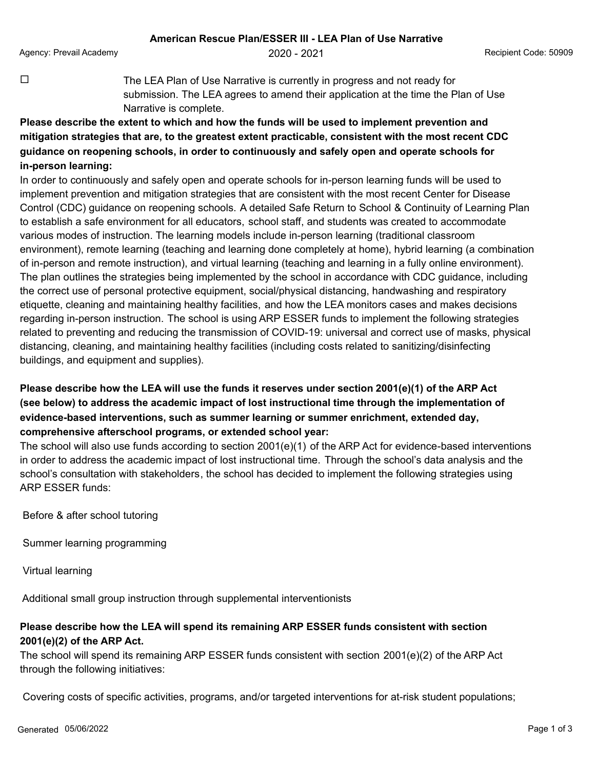Agency: Prevail Academy **2020 - 2021** Agency: Prevail Academy **Provides Agency: Prevail Academy** 

 $\Box$  The LEA Plan of Use Narrative is currently in progress and not ready for submission. The LEA agrees to amend their application at the time the Plan of Use Narrative is complete.

**Please describe the extent to which and how the funds will be used to implement prevention and mitigation strategies that are, to the greatest extent practicable, consistent with the most recent CDC guidance on reopening schools, in order to continuously and safely open and operate schools for in-person learning:**

In order to continuously and safely open and operate schools for in-person learning funds will be used to implement prevention and mitigation strategies that are consistent with the most recent Center for Disease Control (CDC) guidance on reopening schools. A detailed Safe Return to School & Continuity of Learning Plan to establish a safe environment for all educators, school staff, and students was created to accommodate various modes of instruction. The learning models include in-person learning (traditional classroom environment), remote learning (teaching and learning done completely at home), hybrid learning (a combination of in-person and remote instruction), and virtual learning (teaching and learning in a fully online environment). The plan outlines the strategies being implemented by the school in accordance with CDC guidance, including the correct use of personal protective equipment, social/physical distancing, handwashing and respiratory etiquette, cleaning and maintaining healthy facilities, and how the LEA monitors cases and makes decisions regarding in-person instruction. The school is using ARP ESSER funds to implement the following strategies related to preventing and reducing the transmission of COVID-19: universal and correct use of masks, physical distancing, cleaning, and maintaining healthy facilities (including costs related to sanitizing/disinfecting buildings, and equipment and supplies).

## **Please describe how the LEA will use the funds it reserves under section 2001(e)(1) of the ARP Act (see below) to address the academic impact of lost instructional time through the implementation of evidence-based interventions, such as summer learning or summer enrichment, extended day, comprehensive afterschool programs, or extended school year:**

The school will also use funds according to section 2001(e)(1) of the ARP Act for evidence-based interventions in order to address the academic impact of lost instructional time. Through the school's data analysis and the school's consultation with stakeholders, the school has decided to implement the following strategies using ARP ESSER funds:

Before & after school tutoring

Summer learning programming

Virtual learning

Additional small group instruction through supplemental interventionists

## **Please describe how the LEA will spend its remaining ARP ESSER funds consistent with section 2001(e)(2) of the ARP Act.**

The school will spend its remaining ARP ESSER funds consistent with section 2001(e)(2) of the ARP Act through the following initiatives:

Covering costs of specific activities, programs, and/or targeted interventions for at-risk student populations;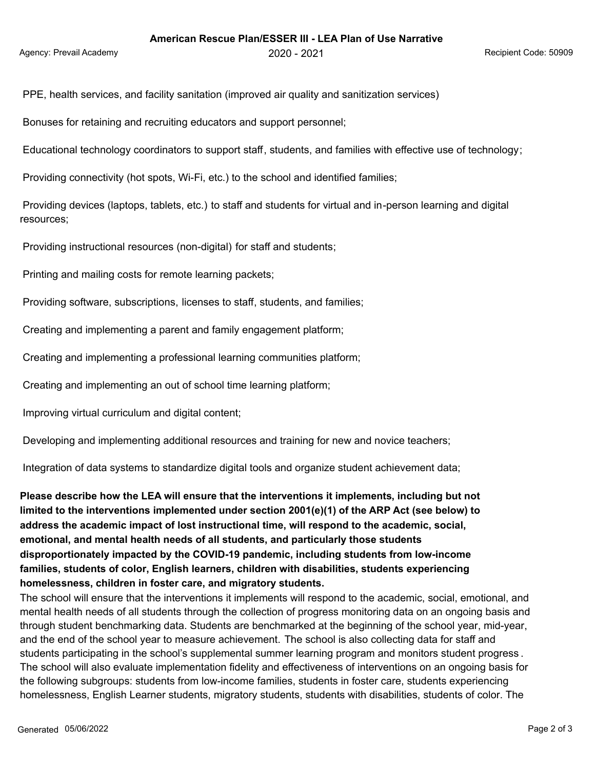PPE, health services, and facility sanitation (improved air quality and sanitization services)

Bonuses for retaining and recruiting educators and support personnel;

Educational technology coordinators to support staff, students, and families with effective use of technology;

Providing connectivity (hot spots, Wi-Fi, etc.) to the school and identified families;

 Providing devices (laptops, tablets, etc.) to staff and students for virtual and in-person learning and digital resources;

Providing instructional resources (non-digital) for staff and students;

Printing and mailing costs for remote learning packets;

Providing software, subscriptions, licenses to staff, students, and families;

Creating and implementing a parent and family engagement platform;

Creating and implementing a professional learning communities platform;

Creating and implementing an out of school time learning platform;

Improving virtual curriculum and digital content;

Developing and implementing additional resources and training for new and novice teachers;

Integration of data systems to standardize digital tools and organize student achievement data;

**Please describe how the LEA will ensure that the interventions it implements, including but not limited to the interventions implemented under section 2001(e)(1) of the ARP Act (see below) to address the academic impact of lost instructional time, will respond to the academic, social, emotional, and mental health needs of all students, and particularly those students disproportionately impacted by the COVID-19 pandemic, including students from low-income families, students of color, English learners, children with disabilities, students experiencing homelessness, children in foster care, and migratory students.**

The school will ensure that the interventions it implements will respond to the academic, social, emotional, and mental health needs of all students through the collection of progress monitoring data on an ongoing basis and through student benchmarking data. Students are benchmarked at the beginning of the school year, mid-year, and the end of the school year to measure achievement. The school is also collecting data for staff and students participating in the school's supplemental summer learning program and monitors student progress . The school will also evaluate implementation fidelity and effectiveness of interventions on an ongoing basis for the following subgroups: students from low-income families, students in foster care, students experiencing homelessness, English Learner students, migratory students, students with disabilities, students of color. The